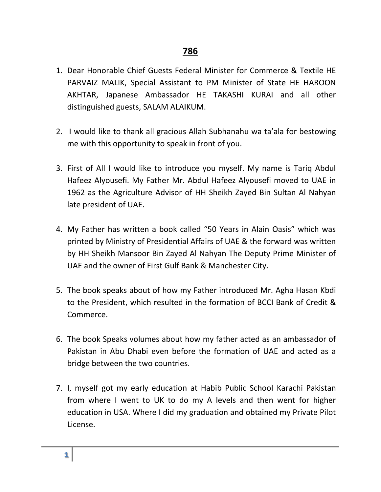- 1. Dear Honorable Chief Guests Federal Minister for Commerce & Textile HE PARVAIZ MALIK, Special Assistant to PM Minister of State HE HAROON AKHTAR, Japanese Ambassador HE TAKASHI KURAI and all other distinguished guests, SALAM ALAIKUM.
- 2. I would like to thank all gracious Allah Subhanahu wa ta'ala for bestowing me with this opportunity to speak in front of you.
- 3. First of All I would like to introduce you myself. My name is Tariq Abdul Hafeez Alyousefi. My Father Mr. Abdul Hafeez Alyousefi moved to UAE in 1962 as the Agriculture Advisor of HH Sheikh Zayed Bin Sultan Al Nahyan late president of UAE.
- 4. My Father has written a book called "50 Years in Alain Oasis" which was printed by Ministry of Presidential Affairs of UAE & the forward was written by HH Sheikh Mansoor Bin Zayed Al Nahyan The Deputy Prime Minister of UAE and the owner of First Gulf Bank & Manchester City.
- 5. The book speaks about of how my Father introduced Mr. Agha Hasan Kbdi to the President, which resulted in the formation of BCCI Bank of Credit & Commerce.
- 6. The book Speaks volumes about how my father acted as an ambassador of Pakistan in Abu Dhabi even before the formation of UAE and acted as a bridge between the two countries.
- 7. I, myself got my early education at Habib Public School Karachi Pakistan from where I went to UK to do my A levels and then went for higher education in USA. Where I did my graduation and obtained my Private Pilot License.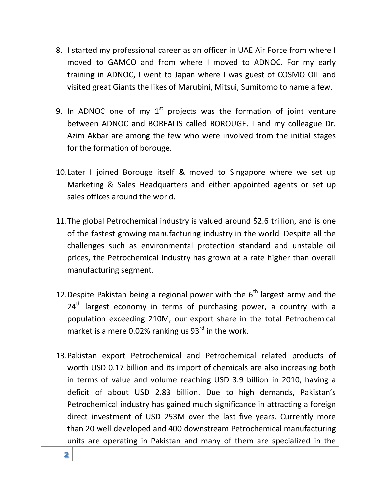- 8. I started my professional career as an officer in UAE Air Force from where I moved to GAMCO and from where I moved to ADNOC. For my early training in ADNOC, I went to Japan where I was guest of COSMO OIL and visited great Giants the likes of Marubini, Mitsui, Sumitomo to name a few.
- 9. In ADNOC one of my  $1<sup>st</sup>$  projects was the formation of joint venture between ADNOC and BOREALIS called BOROUGE. I and my colleague Dr. Azim Akbar are among the few who were involved from the initial stages for the formation of borouge.
- 10.Later I joined Borouge itself & moved to Singapore where we set up Marketing & Sales Headquarters and either appointed agents or set up sales offices around the world.
- 11.The global Petrochemical industry is valued around \$2.6 trillion, and is one of the fastest growing manufacturing industry in the world. Despite all the challenges such as environmental protection standard and unstable oil prices, the Petrochemical industry has grown at a rate higher than overall manufacturing segment.
- 12. Despite Pakistan being a regional power with the  $6<sup>th</sup>$  largest army and the 24<sup>th</sup> largest economy in terms of purchasing power, a country with a population exceeding 210M, our export share in the total Petrochemical market is a mere 0.02% ranking us 93<sup>rd</sup> in the work.
- 13.Pakistan export Petrochemical and Petrochemical related products of worth USD 0.17 billion and its import of chemicals are also increasing both in terms of value and volume reaching USD 3.9 billion in 2010, having a deficit of about USD 2.83 billion. Due to high demands, Pakistan's Petrochemical industry has gained much significance in attracting a foreign direct investment of USD 253M over the last five years. Currently more than 20 well developed and 400 downstream Petrochemical manufacturing units are operating in Pakistan and many of them are specialized in the